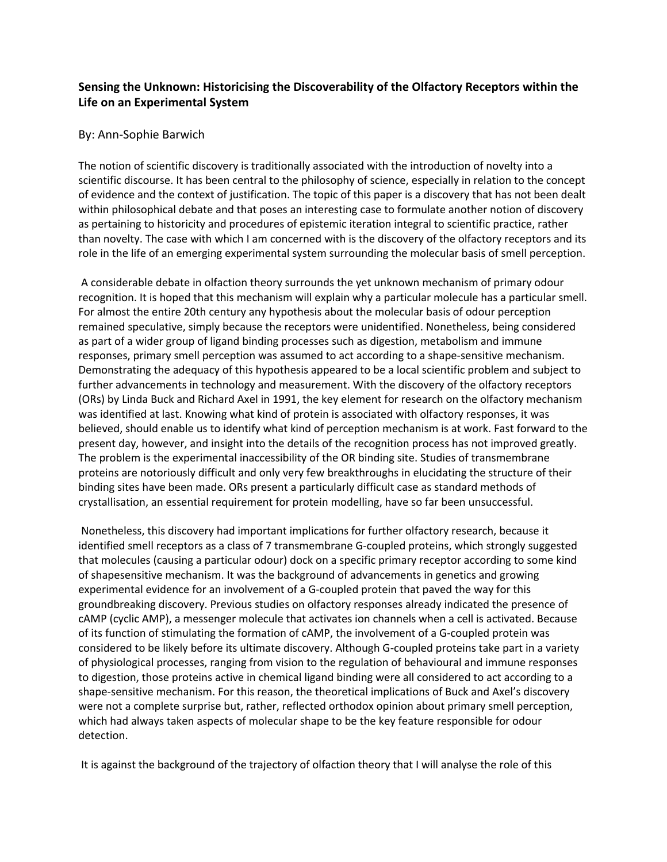## **Sensing the Unknown: Historicising the Discoverability of the Olfactory Receptors within the Life on an Experimental System**

## By: Ann-Sophie Barwich

The notion of scientific discovery is traditionally associated with the introduction of novelty into a scientific discourse. It has been central to the philosophy of science, especially in relation to the concept of evidence and the context of justification. The topic of this paper is a discovery that has not been dealt within philosophical debate and that poses an interesting case to formulate another notion of discovery as pertaining to historicity and procedures of epistemic iteration integral to scientific practice, rather than novelty. The case with which I am concerned with is the discovery of the olfactory receptors and its role in the life of an emerging experimental system surrounding the molecular basis of smell perception.

A considerable debate in olfaction theory surrounds the yet unknown mechanism of primary odour recognition. It is hoped that this mechanism will explain why a particular molecule has a particular smell. For almost the entire 20th century any hypothesis about the molecular basis of odour perception remained speculative, simply because the receptors were unidentified. Nonetheless, being considered as part of a wider group of ligand binding processes such as digestion, metabolism and immune responses, primary smell perception was assumed to act according to a shape-sensitive mechanism. Demonstrating the adequacy of this hypothesis appeared to be a local scientific problem and subject to further advancements in technology and measurement. With the discovery of the olfactory receptors (ORs) by Linda Buck and Richard Axel in 1991, the key element for research on the olfactory mechanism was identified at last. Knowing what kind of protein is associated with olfactory responses, it was believed, should enable us to identify what kind of perception mechanism is at work. Fast forward to the present day, however, and insight into the details of the recognition process has not improved greatly. The problem is the experimental inaccessibility of the OR binding site. Studies of transmembrane proteins are notoriously difficult and only very few breakthroughs in elucidating the structure of their binding sites have been made. ORs present a particularly difficult case as standard methods of crystallisation, an essential requirement for protein modelling, have so far been unsuccessful.

Nonetheless, this discovery had important implications for further olfactory research, because it identified smell receptors as a class of 7 transmembrane G-coupled proteins, which strongly suggested that molecules (causing a particular odour) dock on a specific primary receptor according to some kind of shapesensitive mechanism. It was the background of advancements in genetics and growing experimental evidence for an involvement of a G-coupled protein that paved the way for this groundbreaking discovery. Previous studies on olfactory responses already indicated the presence of cAMP (cyclic AMP), a messenger molecule that activates ion channels when a cell is activated. Because of its function of stimulating the formation of cAMP, the involvement of a G-coupled protein was considered to be likely before its ultimate discovery. Although G-coupled proteins take part in a variety of physiological processes, ranging from vision to the regulation of behavioural and immune responses to digestion, those proteins active in chemical ligand binding were all considered to act according to a shape-sensitive mechanism. For this reason, the theoretical implications of Buck and Axel's discovery were not a complete surprise but, rather, reflected orthodox opinion about primary smell perception, which had always taken aspects of molecular shape to be the key feature responsible for odour detection.

It is against the background of the trajectory of olfaction theory that I will analyse the role of this